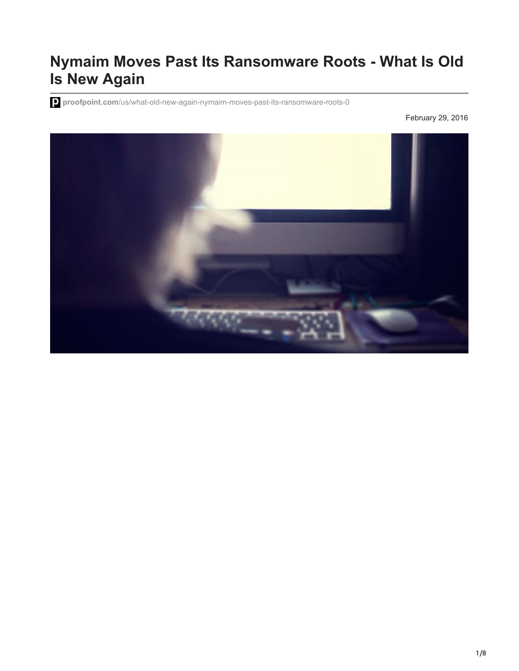# **Nymaim Moves Past Its Ransomware Roots - What Is Old Is New Again**

**proofpoint.com**[/us/what-old-new-again-nymaim-moves-past-its-ransomware-roots-0](https://www.proofpoint.com/us/what-old-new-again-nymaim-moves-past-its-ransomware-roots-0)

February 29, 2016

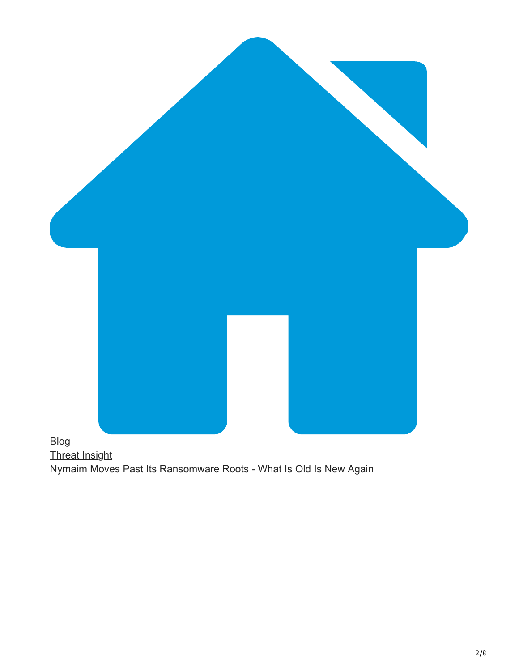

## [Threat Insight](https://www.proofpoint.com/us/blog/threat-insight) Nymaim Moves Past Its Ransomware Roots - What Is Old Is New Again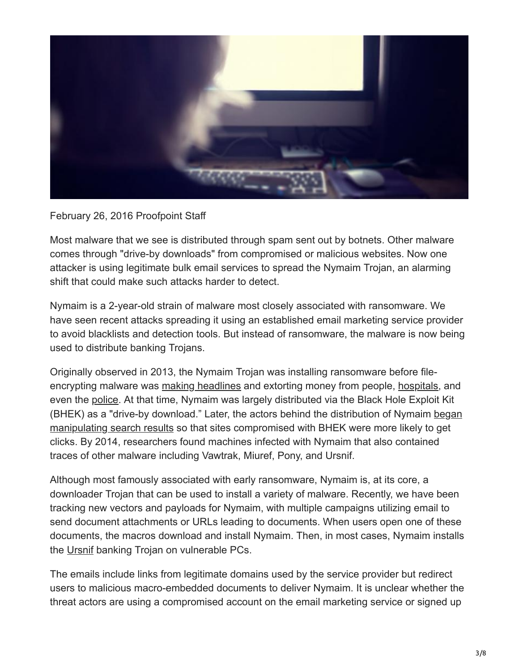

#### February 26, 2016 Proofpoint Staff

Most malware that we see is distributed through spam sent out by botnets. Other malware comes through "drive-by downloads" from compromised or malicious websites. Now one attacker is using legitimate bulk email services to spread the Nymaim Trojan, an alarming shift that could make such attacks harder to detect.

Nymaim is a 2-year-old strain of malware most closely associated with ransomware. We have seen recent attacks spreading it using an established email marketing service provider to avoid blacklists and detection tools. But instead of ransomware, the malware is now being used to distribute banking Trojans.

Originally observed in 2013, the Nymaim Trojan was installing ransomware before fileencrypting malware was [making headlines](http://proofpoint.com/us/threat-insight/post/Dridex-Actors-Get-In-the-Ransomware-Game-With-Locky) and extorting money from people, [hospitals,](http://www.forbes.com/sites/thomasbrewster/2016/02/18/ransomware-hollywood-payment-locky-menace/#2b0d64e875b0) and even the [police.](http://www.darkreading.com/attacks-breaches/police-pay-off-ransomware-operators-again/d/d-id/1319918) At that time, Nymaim was largely distributed via the Black Hole Exploit Kit [\(BHEK\) as a "drive-by download." Later, the actors behind the distribution of Nymaim began](http://www.eset.com/int/about/press/articles/article/nymaim-ransomware-still-active-finding-new-infection-vector-to-spread-black-hat-seo/) manipulating search results so that sites compromised with BHEK were more likely to get clicks. By 2014, researchers found machines infected with Nymaim that also contained traces of other malware including Vawtrak, Miuref, Pony, and Ursnif.

Although most famously associated with early ransomware, Nymaim is, at its core, a downloader Trojan that can be used to install a variety of malware. Recently, we have been tracking new vectors and payloads for Nymaim, with multiple campaigns utilizing email to send document attachments or URLs leading to documents. When users open one of these documents, the macros download and install Nymaim. Then, in most cases, Nymaim installs the [Ursnif](https://www.microsoft.com/security/portal/threat/encyclopedia/entry.aspx?Name=Win32%2FUrsnif) banking Trojan on vulnerable PCs.

The emails include links from legitimate domains used by the service provider but redirect users to malicious macro-embedded documents to deliver Nymaim. It is unclear whether the threat actors are using a compromised account on the email marketing service or signed up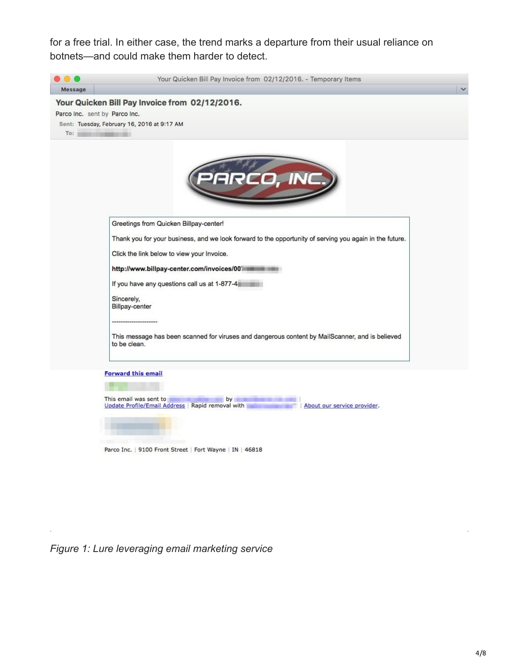for a free trial. In either case, the trend marks a departure from their usual reliance on botnets—and could make them harder to detect.



Parco Inc. | 9100 Front Street | Fort Wayne | IN | 46818

*Figure 1: Lure leveraging email marketing service*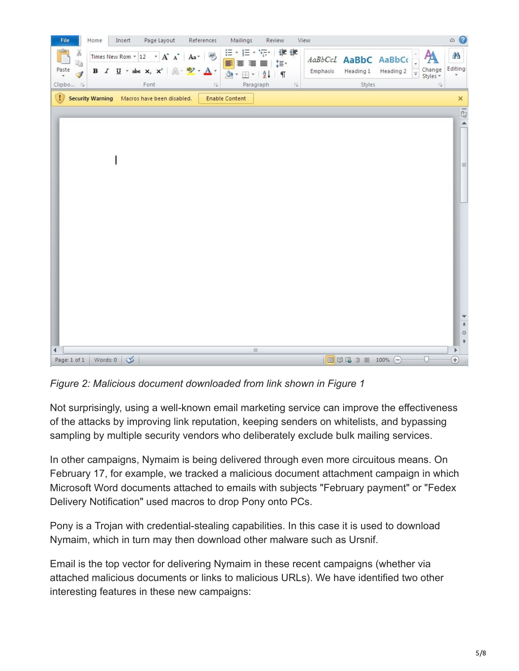

*Figure 2: Malicious document downloaded from link shown in Figure 1*

Not surprisingly, using a well-known email marketing service can improve the effectiveness of the attacks by improving link reputation, keeping senders on whitelists, and bypassing sampling by multiple security vendors who deliberately exclude bulk mailing services.

In other campaigns, Nymaim is being delivered through even more circuitous means. On February 17, for example, we tracked a malicious document attachment campaign in which Microsoft Word documents attached to emails with subjects "February payment" or "Fedex Delivery Notification" used macros to drop Pony onto PCs.

Pony is a Trojan with credential-stealing capabilities. In this case it is used to download Nymaim, which in turn may then download other malware such as Ursnif.

Email is the top vector for delivering Nymaim in these recent campaigns (whether via attached malicious documents or links to malicious URLs). We have identified two other interesting features in these new campaigns: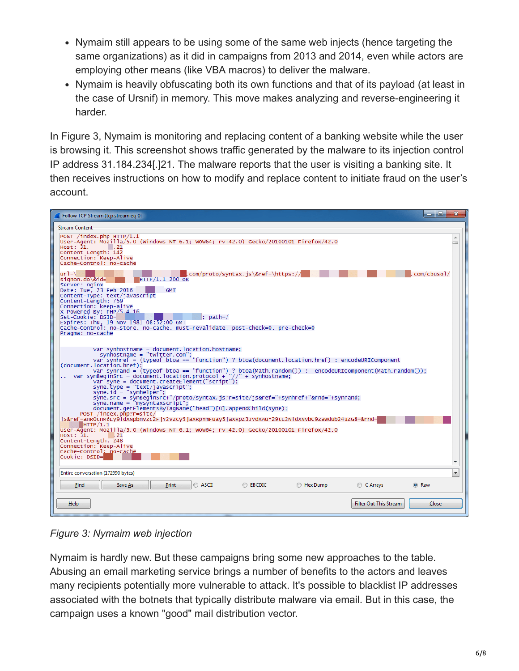- Nymaim still appears to be using some of the same web injects (hence targeting the same organizations) as it did in campaigns from 2013 and 2014, even while actors are employing other means (like VBA macros) to deliver the malware.
- Nymaim is heavily obfuscating both its own functions and that of its payload (at least in the case of Ursnif) in memory. This move makes analyzing and reverse-engineering it harder.

In Figure 3, Nymaim is monitoring and replacing content of a banking website while the user is browsing it. This screenshot shows traffic generated by the malware to its injection control IP address 31.184.234[.]21. The malware reports that the user is visiting a banking site. It then receives instructions on how to modify and replace content to initiate fraud on the user's account.



*Figure 3: Nymaim web injection*

Nymaim is hardly new. But these campaigns bring some new approaches to the table. Abusing an email marketing service brings a number of benefits to the actors and leaves many recipients potentially more vulnerable to attack. It's possible to blacklist IP addresses associated with the botnets that typically distribute malware via email. But in this case, the campaign uses a known "good" mail distribution vector.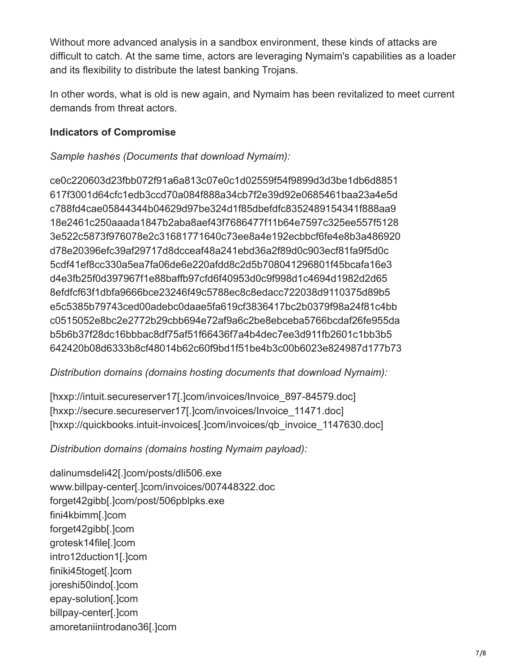Without more advanced analysis in a sandbox environment, these kinds of attacks are difficult to catch. At the same time, actors are leveraging Nymaim's capabilities as a loader and its flexibility to distribute the latest banking Trojans.

In other words, what is old is new again, and Nymaim has been revitalized to meet current demands from threat actors.

#### **Indicators of Compromise**

*Sample hashes (Documents that download Nymaim):*

ce0c220603d23fbb072f91a6a813c07e0c1d02559f54f9899d3d3be1db6d8851 617f3001d64cfc1edb3ccd70a084f888a34cb7f2e39d92e0685461baa23a4e5d c788fd4cae05844344b04629d97be324d1f85dbefdfc8352489154341f888aa9 18e2461c250aaada1847b2aba8aef43f7686477f11b64e7597c325ee557f5128 3e522c5873f976078e2c31681771640c73ee8a4e192ecbbcf6fe4e8b3a486920 d78e20396efc39af29717d8dcceaf48a241ebd36a2f89d0c903ecf81fa9f5d0c 5cdf41ef8cc330a5ea7fa06de6e220afdd8c2d5b708041296801f45bcafa16e3 d4e3fb25f0d397967f1e88baffb97cfd6f40953d0c9f998d1c4694d1982d2d65 8efdfcf63f1dbfa9666bce23246f49c5788ec8c8edacc722038d9110375d89b5 e5c5385b79743ced00adebc0daae5fa619cf3836417bc2b0379f98a24f81c4bb c0515052e8bc2e2772b29cbb694e72af9a6c2be8ebceba5766bcdaf26fe955da b5b6b37f28dc16bbbac8df75af51f66436f7a4b4dec7ee3d911fb2601c1bb3b5 642420b08d6333b8cf48014b62c60f9bd1f51be4b3c00b6023e824987d177b73

#### *Distribution domains (domains hosting documents that download Nymaim):*

[hxxp://intuit.secureserver17[.]com/invoices/Invoice\_897-84579.doc] [hxxp://secure.secureserver17[.]com/invoices/Invoice\_11471.doc] [hxxp://quickbooks.intuit-invoices[.]com/invoices/qb\_invoice\_1147630.doc]

*Distribution domains (domains hosting Nymaim payload):*

dalinumsdeli42[.]com/posts/dli506.exe www.billpay-center[.]com/invoices/007448322.doc forget42gibb[.]com/post/506pblpks.exe fini4kbimm[.]com forget42gibb[.]com grotesk14file[.]com intro12duction1[.]com finiki45toget[.]com joreshi50indo[.]com epay-solution[.]com billpay-center[.]com amoretaniintrodano36[.]com